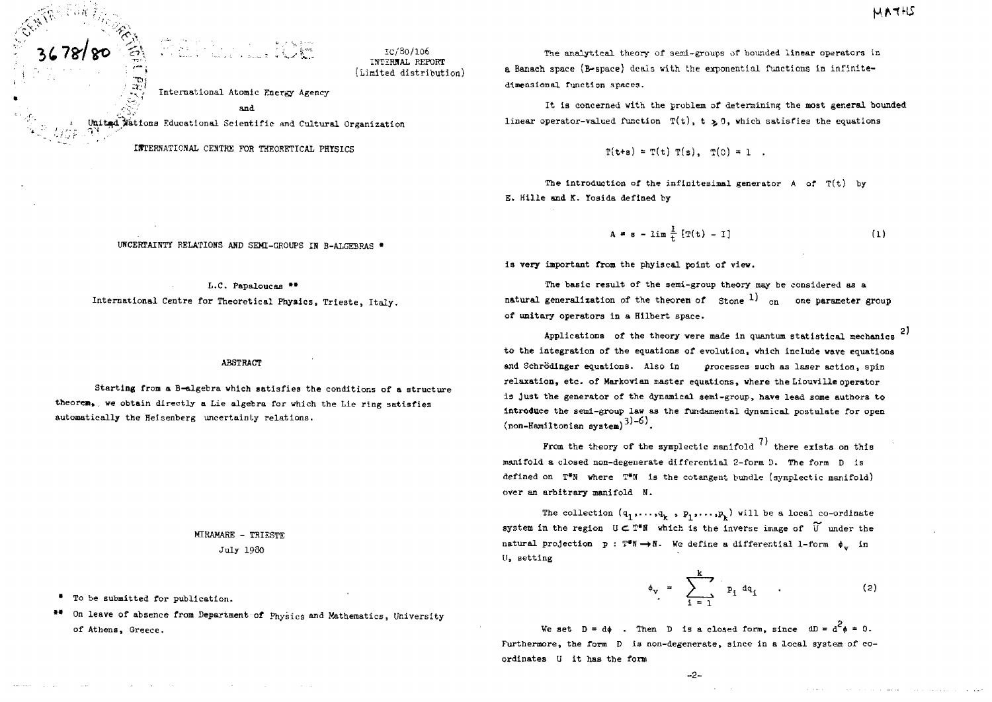2)

# ತ್ವಾದಿ ಮಾಡಿದ್ದಾರೆ.<br>1990 ಕೋಟ್ ಪ್ರತಿ ಪ್ರತಿ ಪ್ರತಿ ಪ್ರತಿ ಪ್ರಾಥಮಿಕ<br>1990 ಕಾರ್ಯಕ್ರಮ ಸಂಪಾದ ಕಾರ್ಯಕ್ರಮಿಕ

lc/30/106 INTERNAL REPORT (Limited distribution)

International Atomic Energy Agency

, $\sqrt[3]{\sqrt{2}}$  and  $\sqrt[3]{\sqrt{2}}$ 

United Wattons Educational Scientific and Cultural Organization

ISTERNATIONAL CEKTRE FOR THEORETICAL PHYSICS

The analytical theory of semi-groups of bounded linear operators in a Banaoh space (&-space) deals vith the exponential functions in infinitedimensional function spaces.

It is concerned with the problem of determining the most general bounded linear operator-valued function  $T(t)$ ,  $t > 0$ , which satisfies the equations

 $T(t+s) = T(t) T(s), T(0) = 1$ .

The introduction of the infinitesimal generator  $A$  of  $T(t)$  by E. Hille and K. Yosida defined by

$$
A = s - \lim_{t \to \infty} \frac{1}{t} [T(t) - I]
$$
 (1)

Is very important from the phyiscal point of view.

The basic result of the semi-group theory may be considered as a natural generalization of the theorem of  $\frac{1}{\pi}$  on one parameter group of unitary operators in a Hilbert space.

Applications of the theory were made in quantum statistical mechanics to the integration of the equations of evolution, which include wave equations and Schrödinger equations. Also in processes such as laser action, spin relaxation, etc. of Markovian master equations, where the Liouville operator 13 just the generator of the dynamical semi-group, have lead some authors to introduce the semi-group law as the fundamental dynamical postulate for open  $_{\text{non-Hamiltonian system}}$  $^{3)-6}$ .

From the theory of the symplectic manifold  $(7)$  there exists on this manifold a closed non-degenerate differential 2-form D. The form D is defined on  $T^*N$  where  $T^*N$  is the cotangent bundle (symplectic manifold) over an arbitrary manifold H.

The collection  $(q_1,\ldots,q_k, p_1,\ldots, p_k)$  will be a local co-ordinate system in the region  $U \subset T^*N$  which is the inverse image of  $\widetilde{U}$  under the natural projection  $p : T^*N \to N$ . We define a differential 1-form  $\phi_{tt}$  in II, setting

$$
\phi_{\mathbf{v}} = \sum_{i=1}^{k} p_i dq_i \qquad (2)
$$

We set  $D = d\phi$  . Then D is a closed form, since  $dD = d^2\phi = 0$ . Furthermore, the form  $D$  is non-degenerate, since in a local system of coordinates U It has the form

 $-2-$ 

UNCERTAINTY RELATIONS AND SEMI-GROUPS IN B-ALGEBRAS \*

L.C. Papaloucaa " International Centre for Theoretical Physics, Trieste, Italy.

ABSTRACT

Starting from a B-algebra which satisfies the conditions of a structure theorem, we obtain directly a Lie algebra for which the Lie ring satisfies automatically the Heisenberg uncertainty relations.

> MIRAMARE - TRIESTE July 1980

To be submitted for publication.

/ *i''. i- ~\^*

\*\* On leave of absence from Department of Physics and Mathematics, University of Athens, Greece.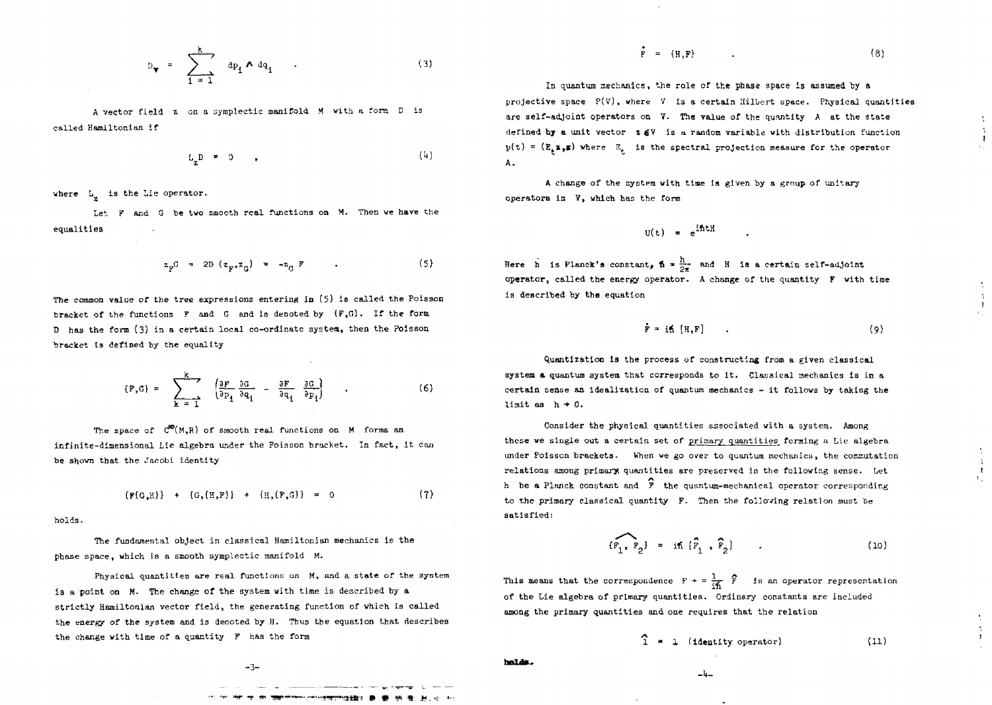$$
D_{\mathbf{v}} = \sum_{i=1}^{k} dp_i \wedge dq_i
$$
 (3)

A vector field z on a symplectic manifold M with a form D is called Hamiltonian if

$$
L_2 D = 0 \qquad (4)
$$

where  $L_{\mu}$  is the Lie operator.

Let F and G be two smooth real functions on M. Then we have the equalities

$$
z_{F}G = 2D (z_{F}, z_{G}) = -z_{G} F
$$
 (5)

The common value of the tree expressions entering in (5) is called the Poisson bracket of the functions  $F$  and  $G$  and is denoted by  $(F,G)$ . If the form D has the form (3) in a certain local co-ordinate system, then the Poisson bracket is defined by the equality

$$
\{P, G\} = \sum_{k=1}^{k} \left( \frac{\partial P}{\partial p_1} \frac{\partial G}{\partial q_1} - \frac{\partial F}{\partial q_i} \frac{\partial G}{\partial p_1} \right) \tag{6}
$$

The space of  $C^{00}(M,R)$  of smooth real functions on M forms an infinite-dimensional Lie algebra under the Poisson bracket. In fact, it can be shown that the Jacobi identity

$$
\{F(G,H)\} + \{G,(H,F)\} + \{H,(F,G)\} = 0 \qquad (7)
$$

holds.

The fundamental object in classical Hamiltonian mechanics is the phase space, which is a smooth symplectic manifold H.

Physical quantities are real functions on H, and a state of the system is a point on M. The change of the system with time is described by a strictly Hamiltonian vector field, the generating function of vhich is called the energy of the system and is denoted by H. Thus the equation that describes the change with time of a quantity F haa the form

**-3-**

$$
\mathbf{F} = \{ \mathbf{H}, \mathbf{F} \} \tag{8}
$$

In quantum mechanics, the role of the phase space is assumed by a projective space  $P(V)$ , where V is a certain Hilbert space. Physical quantities are self-adjoint operators on 7. The value of the quantity A at the state defined by a unit vector  $z \in V$  is a random variable with distribution function  $p(t) = (E_t \bullet_{\bullet} \bullet)$  where  $E_t$  is the spectral projection measure for the operator **t t A .**

A change of the system with time ia given by a group of unitary operators in V, which has the form

$$
U(t) = e^{i\hbar tH}
$$

Here h is Planck's constant,  $\hbar = \frac{h}{2\pi}$  and H is a certain self-adjoint operator, called the energy operator. A change of the quantity  $F$  with time is described by the equation

$$
\mathbf{F} = \mathbf{i} \mathbf{h} \left[ \mathbf{H}, \mathbf{F} \right] \tag{9}
$$

Quantization is the process of constructing from a given classical system a quantum system that corresponds to it. Classical mechanics is in a certain sense an idealization of quantum mechanics - it follows by taking the limit as  $h + 0$ .

Consider the physical quantities associated with a system. Among these we single out a certain set of primary quantities forming a Lie algebra under Poisson brackets. When we go over to quantum mechanics, the commutation relations among primary quantities are preserved in the following sense. Let h be a Planck constant and *1* the quantum-mechanical operator corresponding to the primary classical quantity F. Then the following relation must be satisfied:

$$
[F_1, F_2] = i\hbar [\hat{F}_1, \hat{F}_2] \qquad . \qquad (10)
$$

 $\frac{1}{r}$   $\hat{r}$ This means that the correspondence  $F \rightarrow = \frac{1}{2} \overline{F}$  is an operator representation of the Lie algebra of primary quantities. Ordinary constants are included among the primary quantities and one requires that the relation

 $\hat{1}$  = 1 (identity operator) (11)

**Jit H ' ft HI .». ;t**

holds.

 $-4-$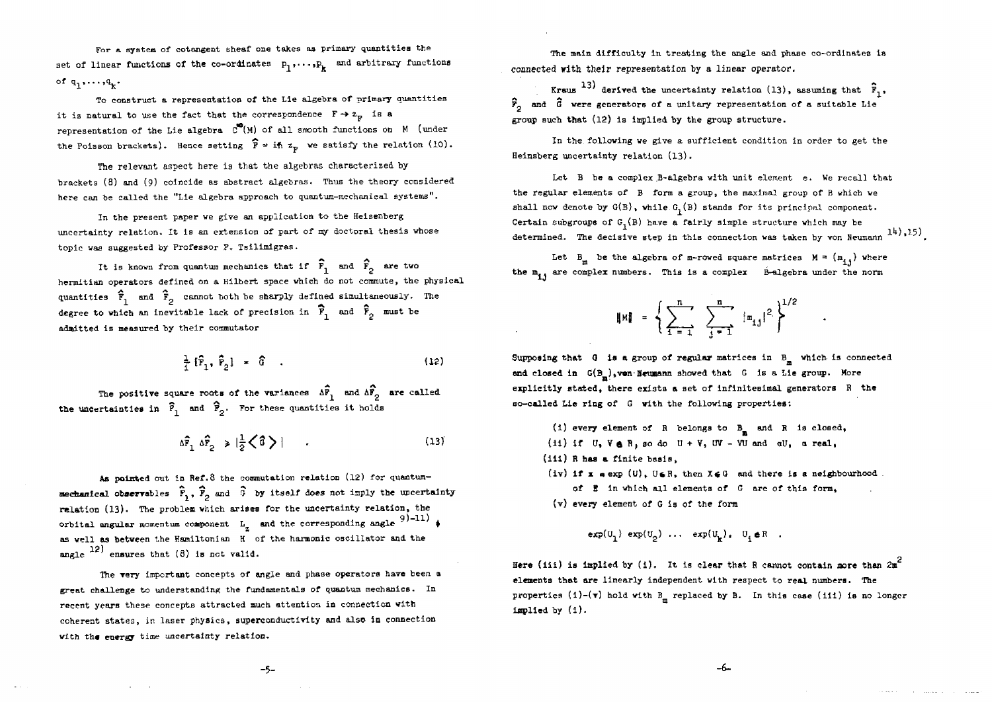For a system of cotangent sheaf one takes as primary quantities the set of linear functions of the co-ordinates  $p_1, \ldots, p_k$  and arbitrary functions of  $q_1, \ldots, q_n$ .

To construct a representation of the Lie algebra of primary quantities it is natural to use the fact that the correspondence  $F \rightarrow z_p$  is a representation of the Lie algebra  $C^{\mathbf{C}}(M)$  of all smooth functions on M (under the Poisson brackets). Hence setting  $\hat{F} = i\hbar z_p$  we satisfy the relation (10).

The relevant aspect here is that the algebras characterized by brackets (3) and (9) coincide as abstract algebras. Thus the theory considered here can be called the "Lie algebra approach to quantum-mechanical systems".

In the present paper we give an application to the Heisenberg uncertainty relation. It is an extension of part of my doctoral thesis whose topic vas suggested by Professor P. Tsilimigras.

It is known from quantum mechanics that if  $\widehat{F}_1$  and  $\widehat{F}_2$  are two hermitian operators defined on a Hilbert space vhich do not commute, the physical quantities  $\hat{F}_1$  and  $\hat{F}_2$  cannot both be sharply defined simultaneously. The degree to which an inevitable lack of precision in  $\widehat{F}_1$  and  $\widehat{F}_2$  must be admitted is measured by their commutator

$$
\frac{1}{i} \left[ \hat{r}_1, \hat{r}_2 \right] = \hat{G} \quad . \tag{12}
$$

The positive square roots of the variances  $\Delta \mathbb{F}^{}_{1}$  and  $\Delta \mathbb{F}^{}_{2}$  are called the uncertainties in  $\hat{F}_1$  and  $\hat{F}_2$ . For these quantities it holds

$$
\Delta \hat{F}_1 \Delta \hat{F}_2 \ge |\frac{1}{2}\zeta \hat{G}\rangle \qquad . \tag{13}
$$

As pointed out in Ref.8 the commutation relation (12) for queatummechanical observables  $\hat{F}_1$ ,  $\hat{F}_2$  and  $\hat{G}$  by itself does not imply the uncertainty relation (13). The problem which arises for the uncertainty relation, the orbital angular momentum component  $L_z$  and the corresponding angle  $9)$ -11)  $\phi$ as well as between the Hamiltonian H of the harmonic oscillator and the angle  $^{12}$  ensures that (8) is not valid.

The very important concepts of angle and phase operators have been a great challenge to understanding the fundamentals of quantum mechanics. In recent years these concepts attracted much attention in connection vith coherent states, in laser physics, superconductivity and also in connection with the energy time uncertainty relation.

The main difficulty in treating the angle and phase co-ordinates is connected vith their representation hy a linear operator.

Kraus <sup>13)</sup> derived the uncertainty relation (13), assuming that  $\hat{F}_1$ ,  $\hat{F}_n$  and  $\hat{G}$  were generators of a unitary representation of a suitable Lie group such that (12) Is implied by the group structure.

In the following we give a sufficient condition In order to get the Heinsberg uncertainty relation (13).

Let B be a complex ,B-algebra with unit element e. We recall that the regular elements of B form a group, the maximal group of B which we shall now denote by  $G(B)$ , while  $G<sub>1</sub>(B)$  stands for its principal component. Certain subgroups of  $G<sub>1</sub>(B)$  have a fairly simple structure which may be determined. The decisive step in this connection was taken by von Neumann  $14$ ), 15.

Let  $B_m$  be the algebra of m-rowed square matrices  $M = (m_{1,j})$  where the  $m_i$ , are complex numbers. This is a complex  $B-$ algebra under the norm

$$
\|\mathbf{M}\| = \left\{ \sum_{i=-1}^{n} \sum_{j=-1}^{n} |(\mathbf{m}_{i,j})|^2 \right\}^{1/2}
$$

Supposing that 0 is a group of regular matrices in *&m* which Is connected and closed in  $G(B_m)$ , von Neumann showed that G is a Lie group. More explicitly stated, there exists a set of infinitesimal generators B the so-called Lie ring of G vith the following properties:

- (i) every element of R belongs to  $B_n$  and R is closed, (ii) if  $U$ ,  $V \oplus R$ , so do  $U + V$ , UV - VU and  $dU$ ,  $d$  real,
- (iii) R has a finite basis.
- (iv) if  $x = exp(U)$ , UaR, then XeG and there is a neighbourhood
	- of B in which all elements of *0* are of this form,
- (v) every element of G is of the form

$$
exp(U_1) exp(U_2) \dots exp(U_k) = U_i eR
$$
.

Here (iii) is implied by (i). It is clear that R cannot contain more than  $2m^2$ elements that are linearly independent with respect to real numbers. The properties (1)-( $\mathbf{v}$ ) hold with B<sub>m</sub> replaced by B. In this case (iii) is no longer implied by (i).

**-5-**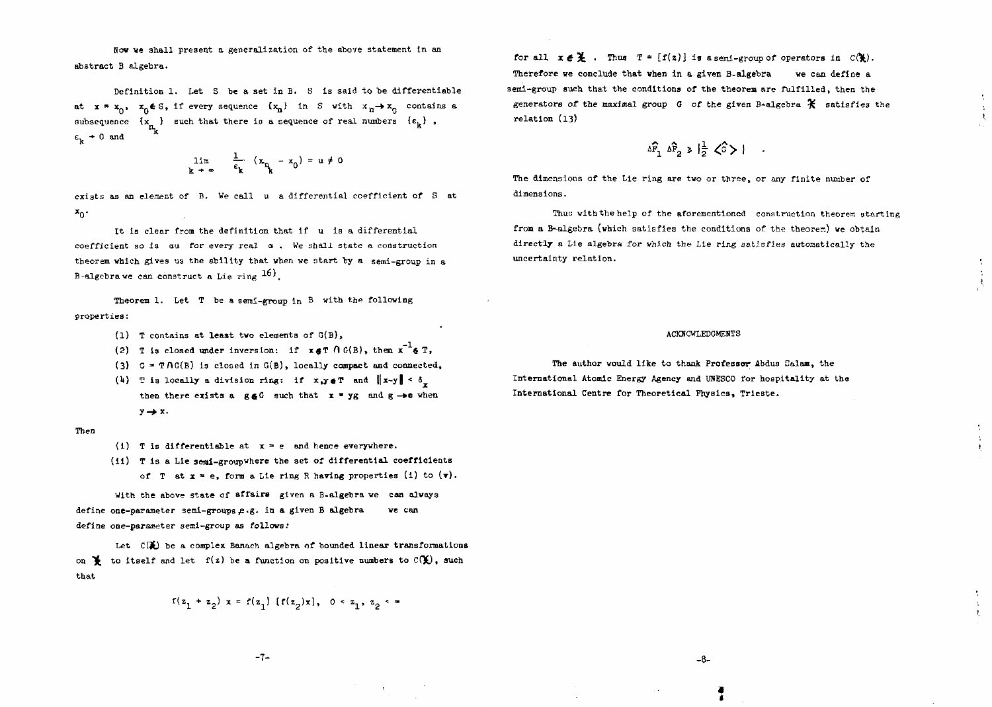Now we shall present a generalization of the above statement in an abstract B algebra.

Definition 1. Let S be a set In B. S is said to be differentiable at  $x = x_0$ ,  $x_0 \notin S$ , if every sequence  $\{x_n\}$  in S with  $x_n \to x_0$  contains a subsequence  $\{x_{n_k}\}\$  such that there is a sequence of real numbers  $\{e_k\}$ ,  $\varepsilon_{\rm k}$  + 0 and

$$
\lim_{k \to \infty} \frac{1}{\varepsilon_k} (x_{n_k} - x_0) = u \neq 0
$$

exists as an element of B. We call a differential coefficient of S at  $\mathbf{x}_0$ 

It is clear from the definition that if u is a differential coefficient so is ou for every real  $\alpha$ . We shall state a construction theorem which gives us the ability that when we start by a semi-group in a B-algebra we can construct a Lie ring 16).

Theorem 1. Let T be a semi-group in B with the following properties:

- (1) T contains at least two elements of G(B),
- (2) T is closed under inversion: if  $x \notin T \cap G(B)$ , then  $x^{-1} \notin T$ ,
- (3)  $G = TAG(B)$  is closed in  $G(B)$ , locally compact and connected,
- (4) T is locally a division ring: if  $x,y \in T$  and  $||x-y|| < \delta$ . then there exists a g&C such that  $x = yg$  and  $g \rightarrow e$  when  $y \rightarrow x$ .

### Then

- (i) T is differentiable at  $x = e$  and hence everywhere.
- (11) T is a Lie seai-groupwhere the set of differential coefficients of T at  $x = e$ , form a Lie ring R having properties (i) to  $(v)$ .

With the above state of affaire given a B-algebra we can always define one-parameter semi-groups e.g. in a given B algebra we can define one-parameter semi-group as follows:

Let  $C(E)$  be a complex Banach algebra of bounded linear transformations on  $\mathbf{\Psi}$  to itself and let  $f(z)$  be a function on positive numbers to  $C(\mathbf{\Psi})$ , such that

$$
f(z_1 + z_2) x = f(z_1) [f(z_2)x], 0 < z_1, z_2 < \infty
$$

for all  $x \in \mathcal{X}$ . Thus  $T = \{f(z)\}$  is a semi-group of operators in  $C(\mathcal{X})$ . Therefore we conclude that vhen in a given B-algebra we can define a 3emi-group such that the conditions of the theorem are fulfilled, then the generators of the maximal group  $G$  of the given B-algebra  $\mathcal K$  satisfies the relation (13)

$$
\Delta \widehat{F}_1 \Delta \widehat{F}_2 \ge |\frac{1}{2} \angle \widehat{G}\rangle |
$$

The dimensions of the Lie ring are two or three, or any finite number of dimensions.

Thus with the help of the aforementioned construction theorem starting from a B-algebra (which satisfies the conditions of the theorem) we obtain directly a Lie algebra for vhich the Lie ring satisfies automatically the uncertainty relation.

### ACKMOWLEDCMEHTS

The author would like to thank Professor Abdus Ealam, the International Atomic Energy Agency and UNESCO for hospitality at the International Centre for Theoretical Physics, Trieste.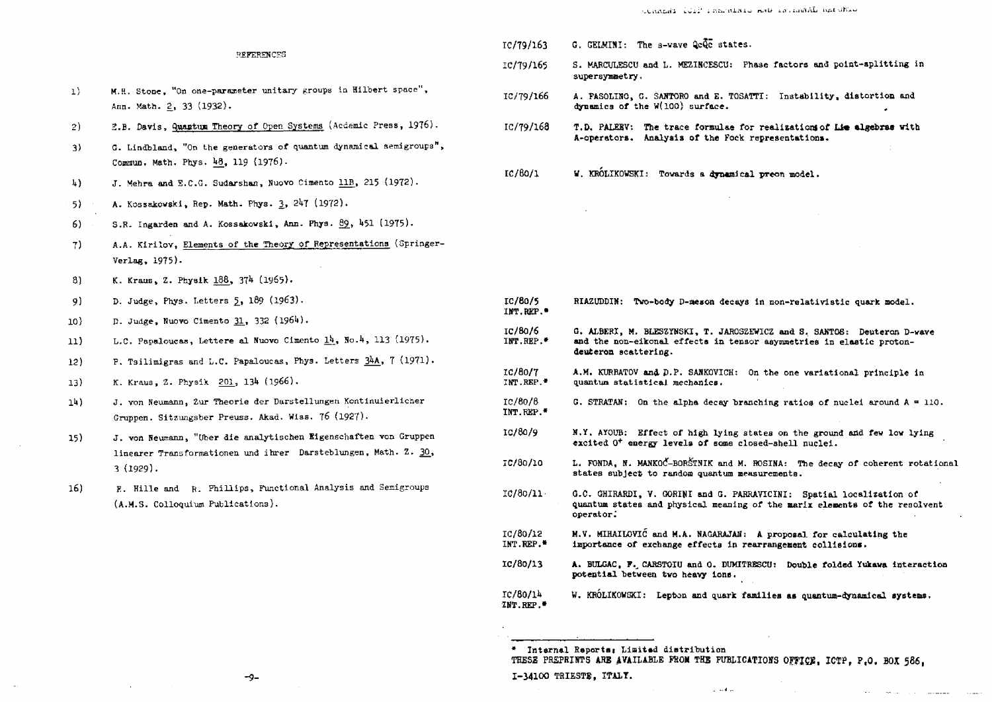## REFERENCES

- M.H. Stone, "On one-parameter unitary groups in Hilbert space",  $1)$ Ann. Math. 2, 33 (1932).
- E.B. Davis, Quantum Theory of Open Systems (Acdemic Press, 1976). 2)
- G. Lindbland, "On the generators of quantum dynamical semigroups",  $\rightarrow$ Commun. Math. Phys. 48, 119 (1976).
- J. Mehra and E.C.G. Sudarshan, Nuovo Cimento 11B, 215 (1972).  $\mathbf{h}$
- A. Kossakowski, Rep. Math. Phys. 3, 247 (1972).  $5)$
- S.R. Ingarden and A. Kossakowski, Ann. Phys. 89, 451 (1975). 6)
- A.A. Kirilov, Elements of the Theory of Representations (Springer- $\overline{7}$ Verlag, 1975).
- K. Kraus, Z. Physik 188, 374 (1965).  $81$
- D. Judge, Phys. Letters 5, 189 (1963).  $9)$
- D. Judge, Nuovo Cimento 31, 332 (1964).  $10<sup>3</sup>$
- L.C. Papaloucas, Lettere al Nuovo Cimento 14, No.4, 113 (1975).  $11)$
- P. Tsilimigras and L.C. Papaloucas, Phys. Letters 34A, 7 (1971).  $12)$
- K. Kraus, Z. Physik 201, 134 (1966).  $13)$
- J. von Neumann, Zur Theorie der Darstellungen Kontinuierlicher  $1<sup>h</sup>$ ) Gruppen. Sitzungsber Preuss. Akad. Wiss. 76 (1927).
- J. von Neumann, "Uber die analytischen Eigenschaften von Gruppen 15) linearer Transformationen und ihrer Darsteblungen, Math. Z. 30,  $3(1929).$
- E. Hille and R. Phillips, Functional Analysis and Semigroups 16) (A.M.S. Colloquium Publications).
- TC/79/163  $G.$  GELMINI: The s-wave  $Qc\overline{Q}\overline{c}$  states.
- S. MARCULESCU and L. MEZINCESCU: Phase factors and point-splitting in IC/79/165 supersymmetry.
- IC/79/166 A. FASOLINO, G. SANTORO and E. TOSATTI: Instability, distortion and dynamics of the W(100) surface.
- $TC/79/168$ T.D. PALERV: The trace formulae for realizations of Lie algebras with A-operators. Analysis of the Fock representations.
- W. KRÓLIKOWSKI: Towards a dynamical preon model.  $IC/80/1$

| IC/80/5<br>INT.REP.               | RIAZUDDIN: Two-body D-meson decays in non-relativistic quark model.                                                                                                     |  |  |  |  |  |
|-----------------------------------|-------------------------------------------------------------------------------------------------------------------------------------------------------------------------|--|--|--|--|--|
| IC/80/6<br>INT.REP.               | G. ALBERI, M. BLESZYNSKI, T. JAROSZEWICZ and S. SANTOS: Deuteron D-wave<br>and the non-eikonal effects in tensor asymmetries in elastic proton-<br>deuteron scattering. |  |  |  |  |  |
| IC/80/7<br>INT.REP. <sup>#</sup>  | A.M. KURBATOV and D.P. SANKOVICH:<br>On the one variational principle in<br>quantum statistical mechanics.                                                              |  |  |  |  |  |
| IC/80/8<br>INT.REP."              | G. STRATAN: On the alpha decay branching ratios of nuclei around $A = 110$ .                                                                                            |  |  |  |  |  |
| IC/80/9                           | N.Y. AYOUB: Effect of high lying states on the ground and few low lying<br>excited O <sup>+</sup> energy levels of some closed-shell nuclei.                            |  |  |  |  |  |
| IC/80/10                          | L. FONDA, N. MANKOC-BORSTNIK and M. ROSINA: The decay of coherent rotational<br>states subject to random quantum measurements.                                          |  |  |  |  |  |
| IC/80/11                          | G.C. GHIRARDI, V. GORINI and G. PARRAVICINI: Spatial localization of<br>quantum states and physical meaning of the marix elements of the resolvent<br>operator:         |  |  |  |  |  |
| IC/80/12<br>INT.REP.*             | M.V. MIHAILOVIC and M.A. NAGARAJAN: A proposal for calculating the<br>importance of exchange effects in rearrangement collisions.                                       |  |  |  |  |  |
| IC/80/13                          | A. BULGAC, F. CARSTOIU and O. DUMITRESCU: Double folded Yukawa interaction<br>potential between two heavy ions.                                                         |  |  |  |  |  |
| IC/60/14<br>INT.REP. <sup>*</sup> | W. KRÓLIKOWSKI: Lepton and quark families as quantum-dynamical systems.                                                                                                 |  |  |  |  |  |

<sup>\*</sup> Internal Reports; Limited distribution THESE PREPRINTS ARE AVAILABLE FROM THE PUBLICATIONS OFFICE, ICTP, P.O. BOX 586,

 $1.14 -$ 

 $-9-$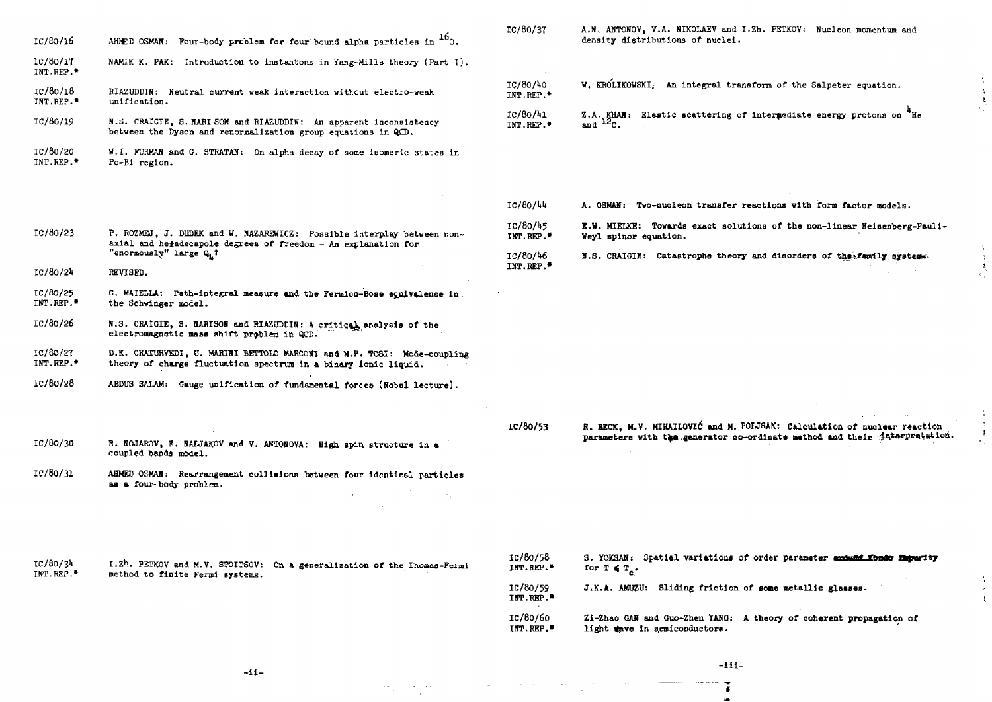| IC/80/16 |  | AHMED OSMAN: Four-body problem for four bound alpha particles in $^{16}$ O. |  |  |  |  |
|----------|--|-----------------------------------------------------------------------------|--|--|--|--|
|----------|--|-----------------------------------------------------------------------------|--|--|--|--|

- IC/80/1T INT.REP.• NAMIK K. PAK: Introduction to instantons in Yang-Mills theory (Part I).
- IC/80/18 INT.REP.\* HIAZUDDIN: Neutral current weak interaction without electro-weak unification.
- IC/80/19 N.S. CRAIGIE, S. NARISON and RIAZUDDIN: An apparent inconsistency between the Dyaon and renormallzatlon group equations in QCD.
- IC/80/20 INT.REP.• W.I. FURMAN and G. STRATAN: On alpha decay of some isomeric states in Po-BI region.
- IC/80/37 A.N. ANTONOV, V.A. NIKOLAEV and I.Zh. PETKOV: Nucleon momentum and density distributions of nuclei.
- IC/80/40 W. KROLIKOWSKI: An integral transform of the Salpeter equation. INT.REP.<sup>\*</sup>  $IC/80/41$  %.A. KHAM: Elastic scattering of intermediate energy protons on  ${}^{4}$  He INT.REP.<sup>\*</sup> and  $12c$ .

- IC/80AU A. OSMAH: Two-nucleon transfer reactions vith form factor models.
- IC/80/45 K.Vi MIELKE: Towards exact solutions of the non-linear Heisenberg-Fauli-IHT.REP.\* Weyl splnor equation.
- IC/80/W IHT.REP.\* B.S. CRAIGIE: Catastrophe theory and disorders of the family system.
- IC/8O/2I\* REVISED.

"enormously" large Q. *1*

P. ROZMEJ, J. DHDEK and W. NAZAREWICZ: Possible interplay between nonaxial and heiadecapole degrees of freedom - An explanation for

IC/80/23

- IC/8O/25 INT.REP.\* G. MAIELLA: Path-integral measure and the Fermion-Bose equivalence in the Schwinger model.
- IC/80/26 N.S. CRAIGIE, S. NARISON and RIAZUDDIN: A critical analysis of the electromagnetic mass shift problem in QCD.
- IC/80/^T INT.REP.\* D.K. CHATURVEDI, U. MARINI BETTOLO MARCONI and M.P. TOSI: Mode-coupling theory of charge fluctuation spectrum in a binary ionic liquid.
- IC/80/2S ABDUS SALAM: Gauge unification of fundamental forces {Hobel lecture).

IC/80/30 R. NOJAROV, E. NADJAKOV and V. ABTOHOVA: High spin structure In a coupled bands model.

lC/80/31 AHMED OSMAH: Rearrangement collisions between four Identical particles as a four-body problem.

IC/80/53 B. BECK, M.V. MIHAIL0VI6 and M. POLJSAK: Calculation of nuclear reaction parameters with the generator co-ordinate method and their juterpretation

IC/80/34 1ST.REP,• I.Zh. PBTKOV and M.V. STOITSOV: On a generalization of the Thomas-Fermi method to finite Fermi systems.

IC/60/58 IKT.BEP.\* S. YOKSAN: Spatial variations of order parameter and and former to for  $T \in T$ <sub>*x*</sub>.

IC/80/59 INT.REP.\* J.K.A. AMUZU: Sliding friction of some metallic

IC/80/60 IBT.HEP.\* Zi-Zhao GAS and Guo-Zhen YANQ: A theory of coherent propagation of light  $\#$ re in semiconductors.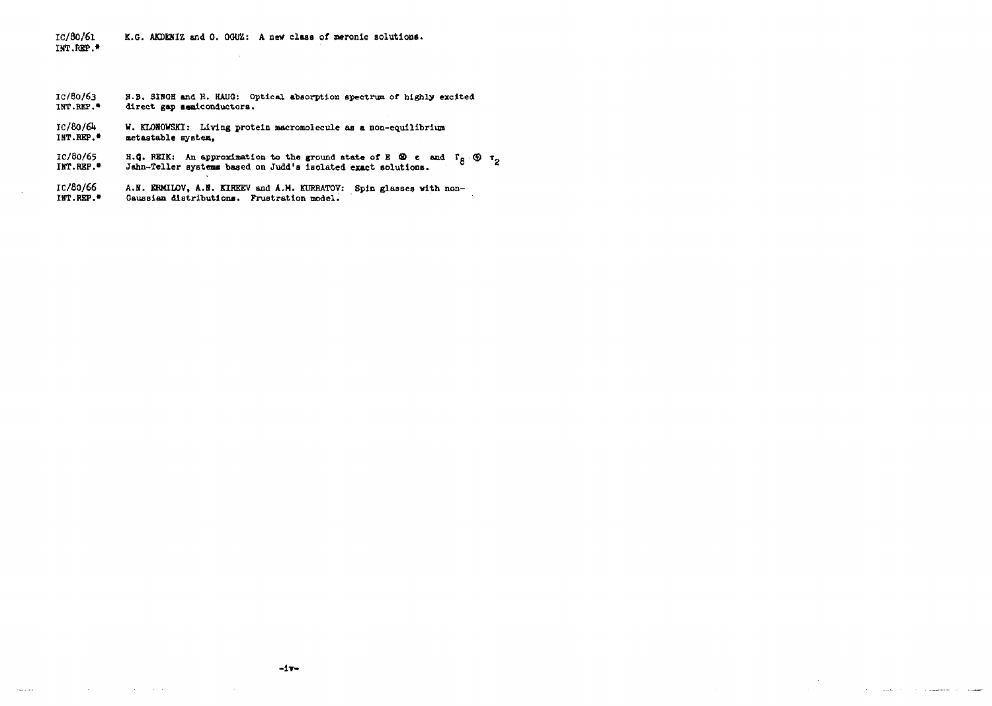#### **IC/80/61 INT.REP.\* K.G. AKDEHIZ and 0. OGUZ: A new class of neronic solutions.**

- **IC/So/63 H.B. SINGH and H. HAUG: Optical absorption spectrum of highly excited** direct gap semiconductors.
- **IC/80/6U W. KLONOWSKI: Living protein macromolecule as a non-equilibrium INT.REP.\* metaatable aysten,**
- **IC/80/65 B.G. REIK:** An approximation to the ground state of E **®** e and P<sub>R</sub> **E IHT.RJEF.\* Jahn-Teller systems based on Judd's Isolated exact solutions.**
- IC/80/66 A.N. KRMILOV, A.N. KIREEV and A.M. KURBATOV: Spin glasses with non-<br>IMT.REP.<sup>2</sup> Gaussian distributions. Prustration model. Gaussian distributions. Prustration model.

and the control of the control of

 $\sim$